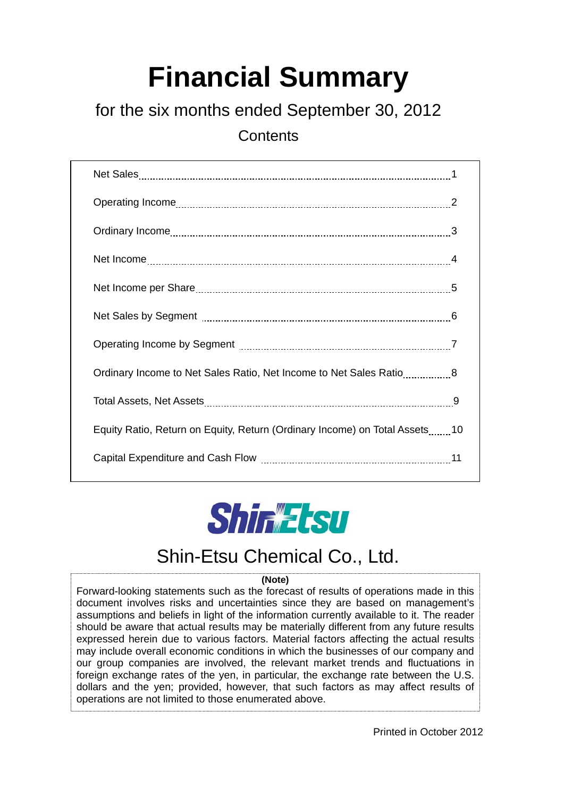# **Financial Summary**

## for the six months ended September 30, 2012

**Contents** 

| Ordinary Income to Net Sales Ratio, Net Income to Net Sales Ratio8         |  |
|----------------------------------------------------------------------------|--|
|                                                                            |  |
| Equity Ratio, Return on Equity, Return (Ordinary Income) on Total Assets10 |  |
|                                                                            |  |



## Shin-Etsu Chemical Co., Ltd.

#### **(Note)**

Forward-looking statements such as the forecast of results of operations made in this document involves risks and uncertainties since they are based on management's assumptions and beliefs in light of the information currently available to it. The reader should be aware that actual results may be materially different from any future results expressed herein due to various factors. Material factors affecting the actual results may include overall economic conditions in which the businesses of our company and our group companies are involved, the relevant market trends and fluctuations in foreign exchange rates of the yen, in particular, the exchange rate between the U.S. dollars and the yen; provided, however, that such factors as may affect results of operations are not limited to those enumerated above.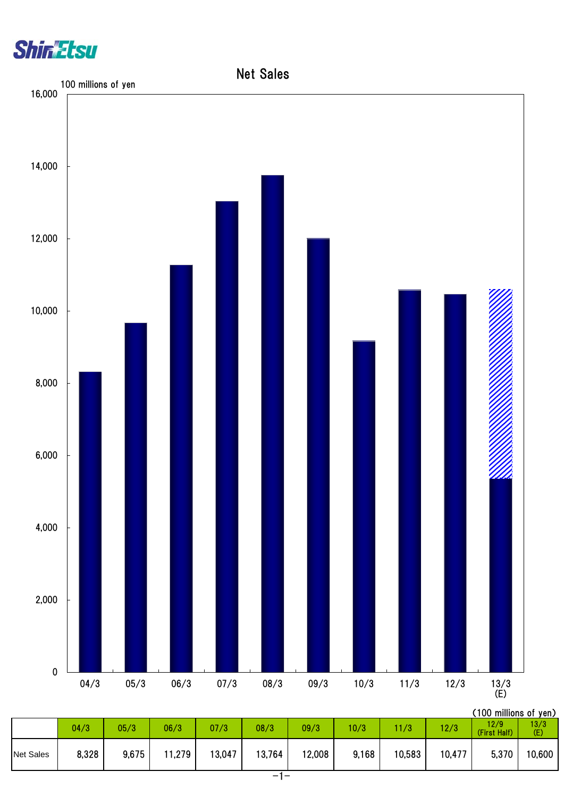



|                  |       |       |        |        |        |        |       |        |        | , IVV IIIIIIIVIII VI JUIL |             |
|------------------|-------|-------|--------|--------|--------|--------|-------|--------|--------|---------------------------|-------------|
|                  | 04/3  | 05/3  | 06/3   | 07/3   | 08/3   | 09/3   | 10/3  | 1/3    | 12/3   | 12/9<br>(First Half)      | 13/3<br>(E) |
| <b>Net Sales</b> | 8,328 | 9,675 | 11,279 | 13,047 | 13,764 | 12,008 | 9,168 | 10,583 | 10,477 | 5,370                     | 10,600      |
|                  |       |       |        |        |        |        |       |        |        |                           |             |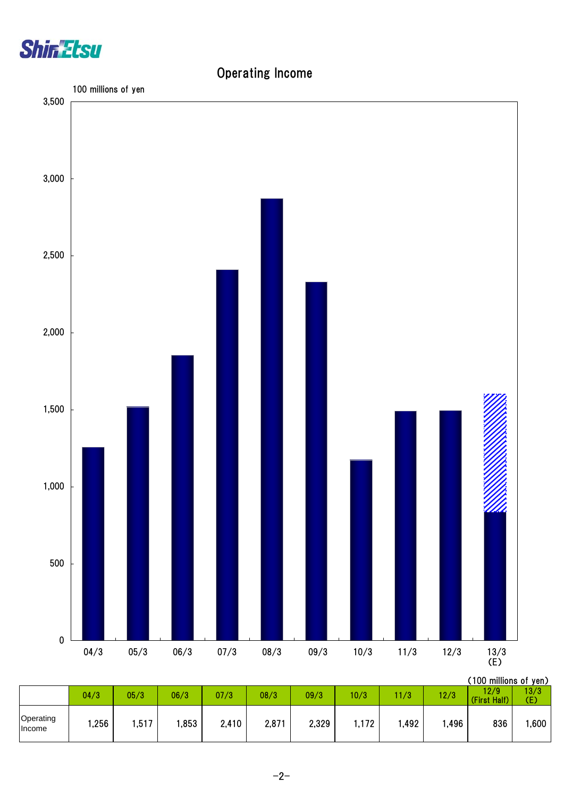

### Operating Income

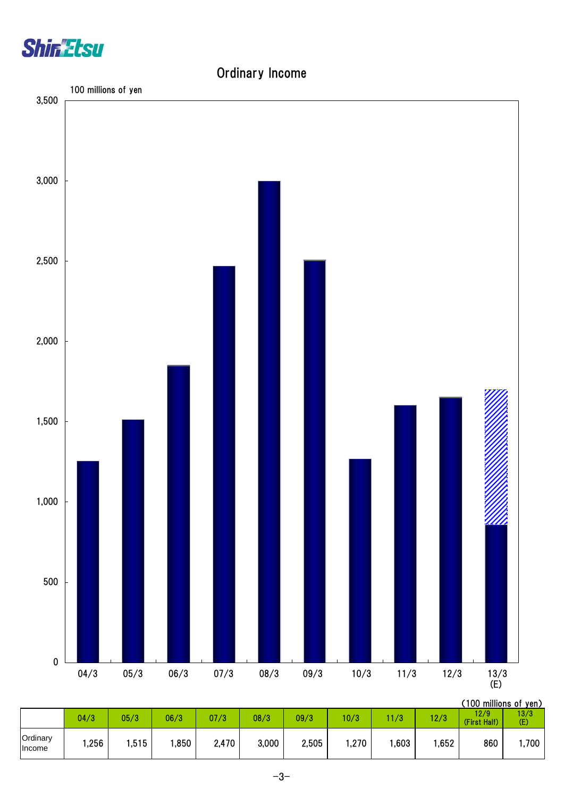



|                           |      |      |      |       |       |       |       |      |       | (100 millions of yen) |             |
|---------------------------|------|------|------|-------|-------|-------|-------|------|-------|-----------------------|-------------|
|                           | 04/3 | 05/3 | 06/3 | 07/3  | 08/3  | 09/3  | 10/3  | 11/3 | 12/3  | 12/9<br>(First Half)  | 13/3<br>(E) |
| Ordinary<br><b>Income</b> | ,256 | ,515 | ,850 | 2,470 | 3,000 | 2,505 | .270, | ,603 | .652, | 860                   | ,700        |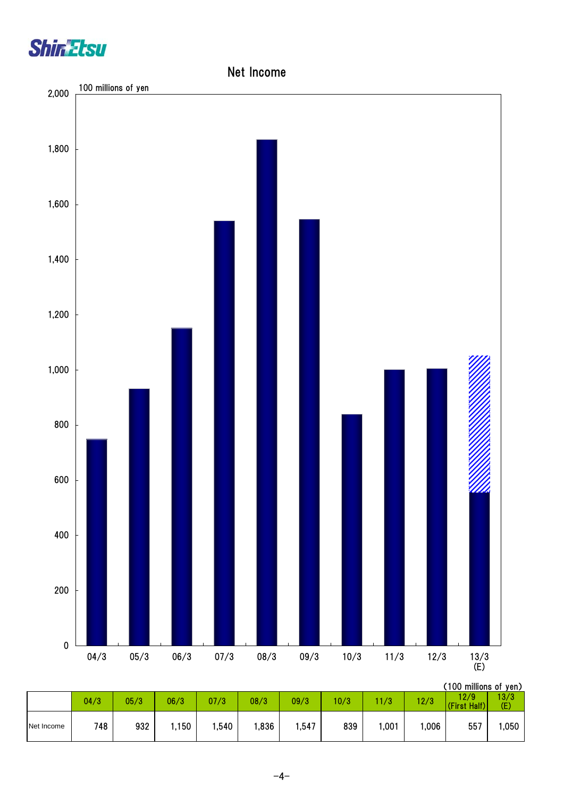



|            | 04/3 | 05/3 | 06/3 | 07/3 | 08/3 | 09/3 | 10/3 | 1/3  | 12/3 | 12/9<br>(First Half) | 13/3<br>(E) |
|------------|------|------|------|------|------|------|------|------|------|----------------------|-------------|
| Net Income | 748  | 932  | .150 | ,540 | ,836 | ,547 | 839  | ,001 | ,006 | 557                  | ,050        |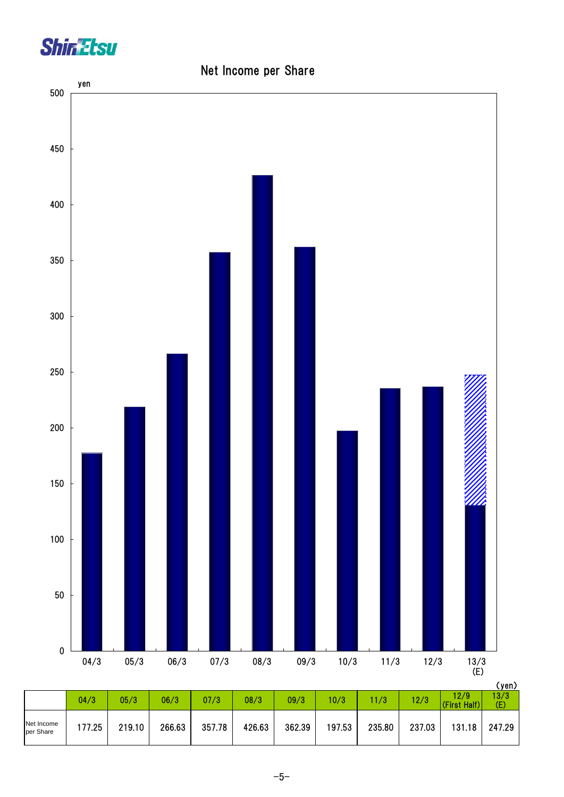

## (yen) 04/3 05/3 06/3 07/3 08/3 09/3 10/3 11/3 12/3  $\frac{12/9}{(5.13 \times 11)^2}$  $12/9$ <br>(First Half) 13/3 (E) Net Income<br>per Share per Share | 177.25 | 219.10 | 266.63 | 357.78 | 426.63 | 362.39 | 197.53 | 235.80 | 237.03 | 131.18 | 247.29 0 50 100 150 200 250 300 350 400 450 500 04/3 05/3 06/3 07/3 08/3 09/3 10/3 11/3 12/3 13/3  $\frac{13/3}{(E)}$ yen

### Net Income per Share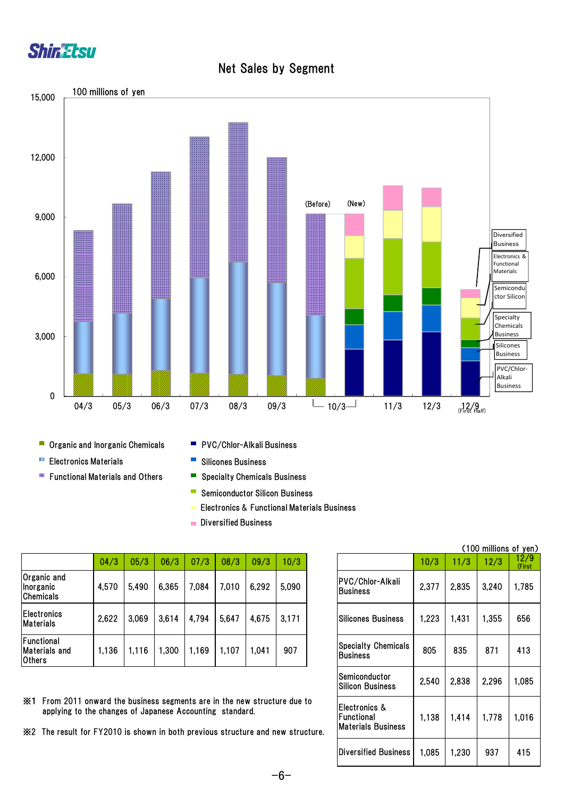



Net Sales by Segment

- **Organic and Inorganic Chemicals**
- **Electronics Materials**
- **Functional Materials and Others**
- PVC/Chlor-Alkali Business
- $\mathbb{R}^2$ Silicones Business
- $\blacksquare$ Specialty Chemicals Business
- $\overline{\mathbb{R}^n}$ Semiconductor Silicon Business
- Electronics & Functional Materials Business
- **Diversified Business**

|                                                     |       |       |       |        |       |       |       |                                                |       |       |       | ,,,,           |
|-----------------------------------------------------|-------|-------|-------|--------|-------|-------|-------|------------------------------------------------|-------|-------|-------|----------------|
|                                                     | 04/3  | 05/3  | 06/3  | 07/3   | 08/3  | 09/3  | 10/3  |                                                | 10/3  | 1/3   | 12/3  | 12/9<br>(First |
| Organic and<br>Inorganic<br><b>Chemicals</b>        | 4,570 | 5,490 | 6,365 | 7,084  | 7,010 | 6,292 | 5,090 | PVC/Chlor-Alkali<br><b>IBusiness</b>           | 2,377 | 2,835 | 3,240 | .785           |
| <b>Electronics</b><br><b>Materials</b>              | 2,622 | 3,069 | 3,614 | 4,794  | 5,647 | 4,675 | 3,171 | Silicones Business                             | ,223  | 1,431 | 1,355 | 656            |
| Functional<br><b>Materials and</b><br><b>Others</b> | 1,136 | 1,116 | ,300  | i, 169 | 1,107 | 1,041 | 907   | <b>Specialty Chemicals</b><br><b>IBusiness</b> | 805   | 835   | 871   | 413            |

※1 From 2011 onward the business segments are in the new structure due to applying to the changes of Japanese Accounting standard.

※2 The result for FY2010 is shown in both previous structure and new structure.

|                                                          |       |       | (100 millions of yen) |                |
|----------------------------------------------------------|-------|-------|-----------------------|----------------|
|                                                          | 10/3  | 11/3  | 12/3                  | 12/9<br>(First |
| PVC/Chlor-Alkali<br><b>Business</b>                      | 2,377 | 2,835 | 3,240                 | 1,785          |
| <b>Silicones Business</b>                                | 1,223 | 1,431 | 1,355                 | 656            |
| <b>Specialty Chemicals</b><br><b>Business</b>            | 805   | 835   | 871                   | 413            |
| Semiconductor<br><b>Silicon Business</b>                 | 2,540 | 2,838 | 2.296                 | 1,085          |
| Electronics &<br>Functional<br><b>Materials Business</b> | 1,138 | 1,414 | 1,778                 | 1,016          |
| <b>Diversified Business</b>                              | 1,085 | 1,230 | 937                   | 415            |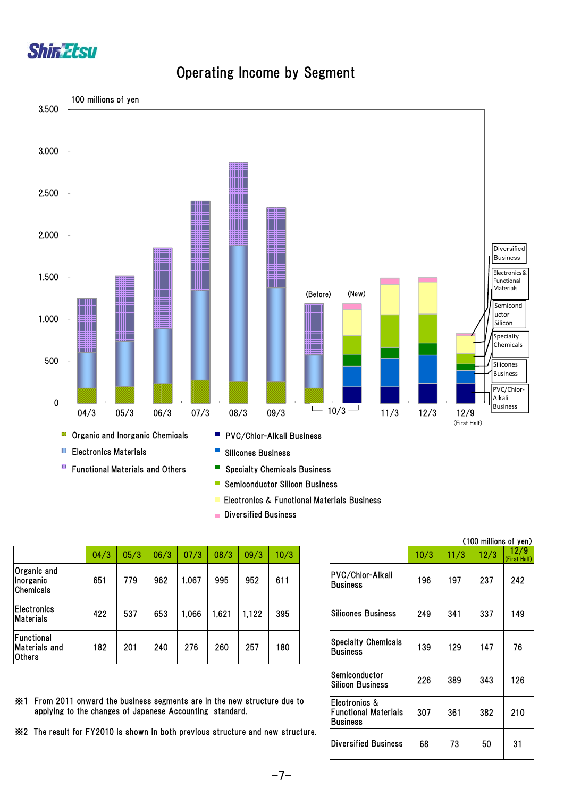

### Operating Income by Segment



- Semiconductor Silicon Business Ē.
- Electronics & Functional Materials Business
- **Diversified Business**

|                                              |      |      |      |       |       |       |      |                                               |      |      | <b>ATOO ININIUMO OF JUL</b> |                   |
|----------------------------------------------|------|------|------|-------|-------|-------|------|-----------------------------------------------|------|------|-----------------------------|-------------------|
|                                              | 04/3 | 05/3 | 06/3 | 07/3  | 08/3  | 09/3  | 10/3 |                                               | 10/3 | 11/3 | 12/3                        | 12/9<br>(First Ha |
| Organic and<br>Inorganic<br><b>Chemicals</b> | 651  | 779  | 962  | 1,067 | 995   | 952   | 611  | PVC/Chlor-Alkali<br><b>IBusiness</b>          | 196  | 197  | 237                         | 242               |
| <b>Electronics</b><br><b>Materials</b>       | 422  | 537  | 653  | 0.066 | 1,621 | 1,122 | 395  | Silicones Business                            | 249  | 341  | 337                         | 149               |
| Functional<br>Materials and<br>Others        | 182  | 201  | 240  | 276   | 260   | 257   | 180  | <b>Specialty Chemicals</b><br><b>Business</b> | 139  | 129  | 147                         | 76                |

(100 millions of yen)  $\frac{12}{9}$ <br>(First Half) 226 389 343 126 307 361 382 210 68 | 73 | 50 | 31 Electronics & Functional Materials **Business** Diversified Business PVC/Chlor-Alkali **Business** Silicones Business Specialty Chemicals **Business** Semiconductor Silicon Business

- ※1 From 2011 onward the business segments are in the new structure due to applying to the changes of Japanese Accounting standard.
- ※2 The result for FY2010 is shown in both previous structure and new structure.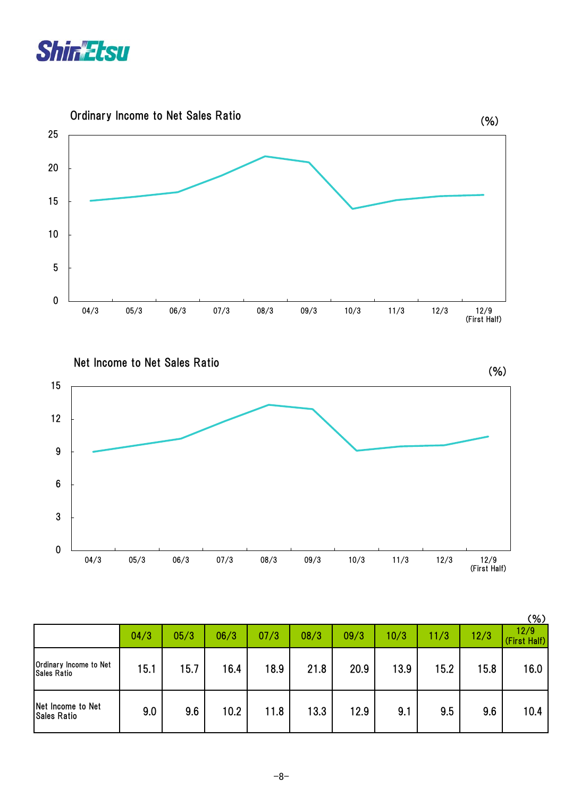



Net Income to Net Sales Ratio



|                                              |      |      |      |      |      |      |      |      |      | $(\% )$              |
|----------------------------------------------|------|------|------|------|------|------|------|------|------|----------------------|
|                                              | 04/3 | 05/3 | 06/3 | 07/3 | 08/3 | 09/3 | 10/3 | 11/3 | 12/3 | 12/9<br>(First Half) |
| Ordinary Income to Net<br><b>Sales Ratio</b> | 15.1 | 15.7 | 16.4 | 18.9 | 21.8 | 20.9 | 13.9 | 15.2 | 15.8 | 16.0                 |
| Net Income to Net<br><b>Sales Ratio</b>      | 9.0  | 9.6  | 10.2 | 11.8 | 13.3 | 12.9 | 9.1  | 9.5  | 9.6  | 10.4                 |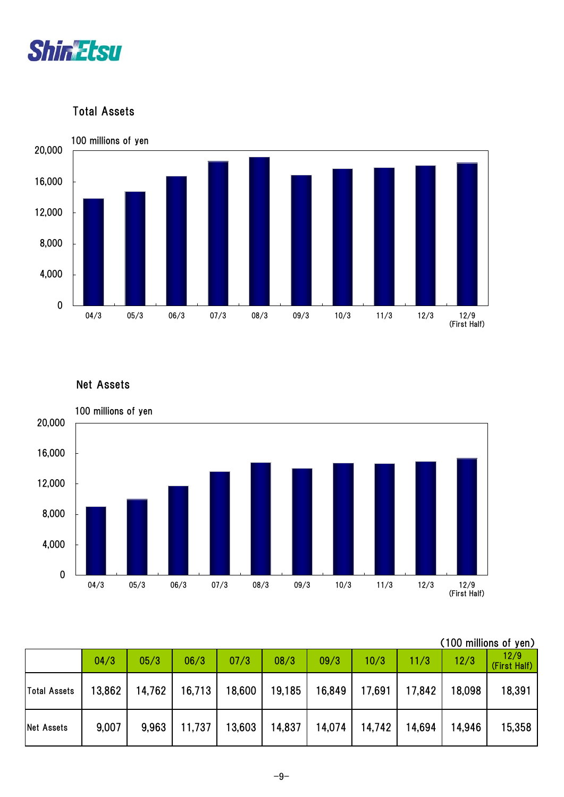

Total Assets



### Net Assets



| (100 millions of yen) |  |
|-----------------------|--|
|                       |  |

|                   | 04/3   | 05/3   | 06/3   | 07/3   | 08/3   | 09/3   | 10/3   | 11/3   | 12/3   | 12/9<br>(First Half) |
|-------------------|--------|--------|--------|--------|--------|--------|--------|--------|--------|----------------------|
| Total Assets      | 13,862 | 14,762 | 16,713 | 18,600 | 19,185 | 16,849 | 17,691 | 17,842 | 18,098 | 18,391               |
| <b>Net Assets</b> | 9,007  | 9,963  | 11,737 | 13,603 | 14,837 | 14,074 | 14,742 | 14,694 | 14.946 | 15,358               |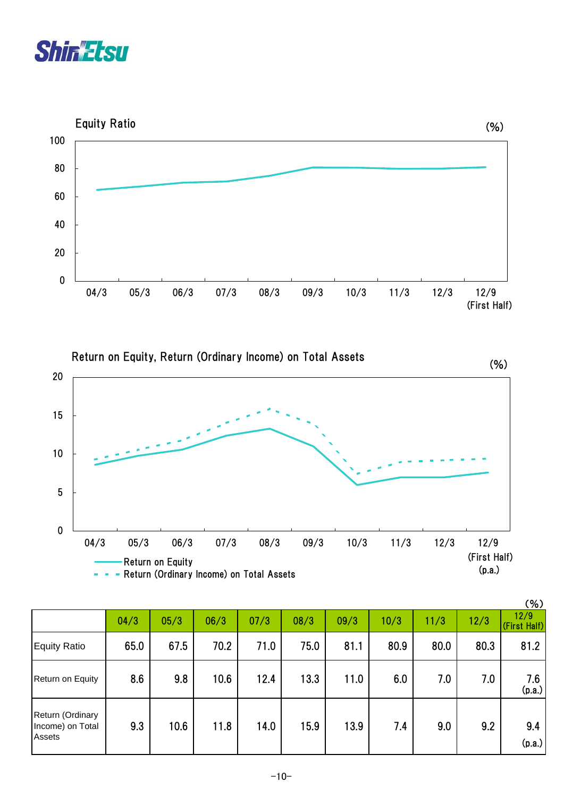



Return on Equity, Return (Ordinary Income) on Total Assets



|                                                |      |      |      |      |      |      |      |      |      | (% )                 |
|------------------------------------------------|------|------|------|------|------|------|------|------|------|----------------------|
|                                                | 04/3 | 05/3 | 06/3 | 07/3 | 08/3 | 09/3 | 10/3 | 11/3 | 12/3 | 12/9<br>(First Half) |
| Equity Ratio                                   | 65.0 | 67.5 | 70.2 | 71.0 | 75.0 | 81.1 | 80.9 | 80.0 | 80.3 | 81.2                 |
| Return on Equity                               | 8.6  | 9.8  | 10.6 | 12.4 | 13.3 | 11.0 | 6.0  | 7.0  | 7.0  | 7.6<br>(p.a.)        |
| Return (Ordinary<br>Income) on Total<br>Assets | 9.3  | 10.6 | 11.8 | 14.0 | 15.9 | 13.9 | 7.4  | 9.0  | 9.2  | 9.4<br>(p.a.)        |